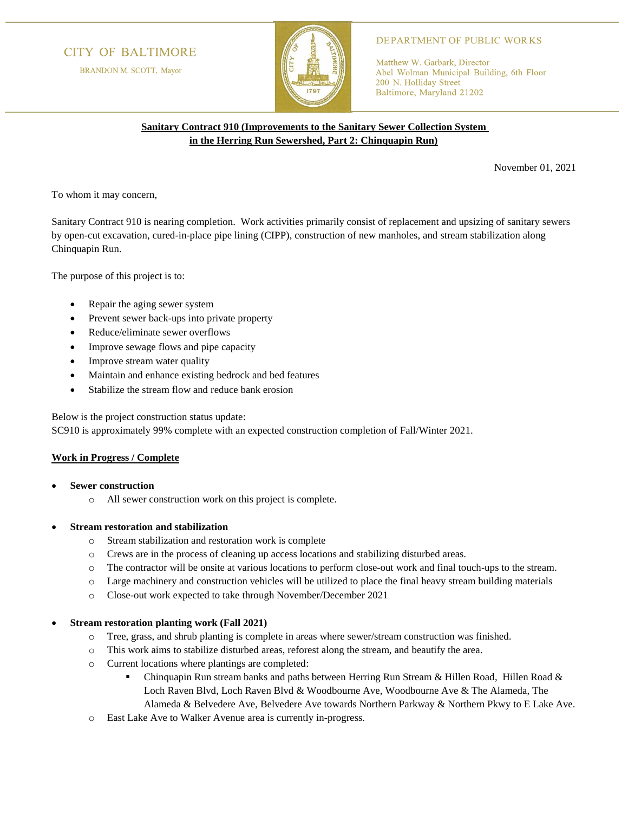# **CITY OF BALTIMORE**

BRANDON M. SCOTT, Mayor



# **DEPARTMENT OF PUBLIC WORKS**

Matthew W. Garbark, Director Abel Wolman Municipal Building, 6th Floor 200 N. Holliday Street Baltimore, Maryland 21202

# **Sanitary Contract 910 (Improvements to the Sanitary Sewer Collection System in the Herring Run Sewershed, Part 2: Chinquapin Run)**

November 01, 2021

To whom it may concern,

Sanitary Contract 910 is nearing completion. Work activities primarily consist of replacement and upsizing of sanitary sewers by open-cut excavation, cured-in-place pipe lining (CIPP), construction of new manholes, and stream stabilization along Chinquapin Run.

The purpose of this project is to:

- Repair the aging sewer system
- Prevent sewer back-ups into private property
- Reduce/eliminate sewer overflows
- Improve sewage flows and pipe capacity
- Improve stream water quality
- Maintain and enhance existing bedrock and bed features
- Stabilize the stream flow and reduce bank erosion

Below is the project construction status update:

SC910 is approximately 99% complete with an expected construction completion of Fall/Winter 2021.

#### **Work in Progress / Complete**

- **Sewer construction**
	- o All sewer construction work on this project is complete.

### • **Stream restoration and stabilization**

- o Stream stabilization and restoration work is complete
- o Crews are in the process of cleaning up access locations and stabilizing disturbed areas.
- o The contractor will be onsite at various locations to perform close-out work and final touch-ups to the stream.
- o Large machinery and construction vehicles will be utilized to place the final heavy stream building materials
- o Close-out work expected to take through November/December 2021

#### • **Stream restoration planting work (Fall 2021)**

- o Tree, grass, and shrub planting is complete in areas where sewer/stream construction was finished.
- o This work aims to stabilize disturbed areas, reforest along the stream, and beautify the area.
- o Current locations where plantings are completed:
	- **•** Chinquapin Run stream banks and paths between Herring Run Stream & Hillen Road, Hillen Road & Loch Raven Blvd, Loch Raven Blvd & Woodbourne Ave, Woodbourne Ave & The Alameda, The Alameda & Belvedere Ave, Belvedere Ave towards Northern Parkway & Northern Pkwy to E Lake Ave.
- o East Lake Ave to Walker Avenue area is currently in-progress.